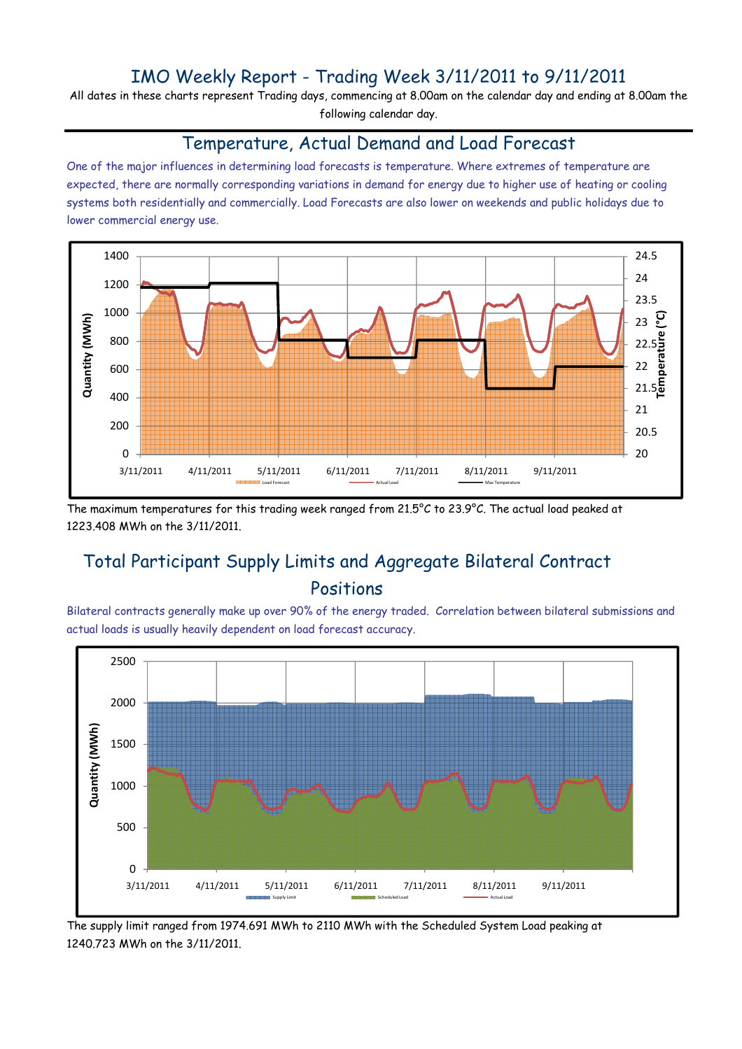## IMO Weekly Report - Trading Week 3/11/2011 to 9/11/2011

All dates in these charts represent Trading days, commencing at 8.00am on the calendar day and ending at 8.00am the following calendar day.

#### Temperature, Actual Demand and Load Forecast

One of the major influences in determining load forecasts is temperature. Where extremes of temperature are expected, there are normally corresponding variations in demand for energy due to higher use of heating or cooling systems both residentially and commercially. Load Forecasts are also lower on weekends and public holidays due to lower commercial energy use.



The maximum temperatures for this trading week ranged from 21.5°C to 23.9°C. The actual load peaked at 1223.408 MWh on the 3/11/2011.

# Total Participant Supply Limits and Aggregate Bilateral Contract Positions

Bilateral contracts generally make up over 90% of the energy traded. Correlation between bilateral submissions and actual loads is usually heavily dependent on load forecast accuracy.



The supply limit ranged from 1974.691 MWh to 2110 MWh with the Scheduled System Load peaking at 1240.723 MWh on the 3/11/2011.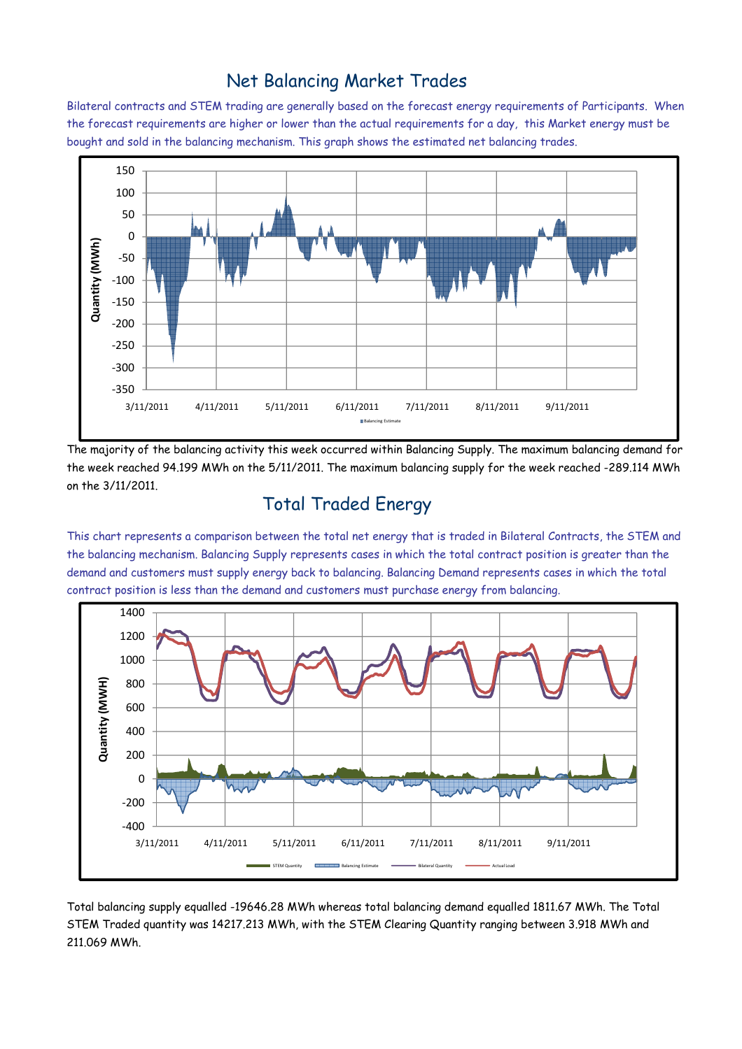### Net Balancing Market Trades

Bilateral contracts and STEM trading are generally based on the forecast energy requirements of Participants. When the forecast requirements are higher or lower than the actual requirements for a day, this Market energy must be bought and sold in the balancing mechanism. This graph shows the estimated net balancing trades.



The majority of the balancing activity this week occurred within Balancing Supply. The maximum balancing demand for the week reached 94.199 MWh on the 5/11/2011. The maximum balancing supply for the week reached -289.114 MWh on the 3/11/2011.

## Total Traded Energy

This chart represents a comparison between the total net energy that is traded in Bilateral Contracts, the STEM and the balancing mechanism. Balancing Supply represents cases in which the total contract position is greater than the demand and customers must supply energy back to balancing. Balancing Demand represents cases in which the total contract position is less than the demand and customers must purchase energy from balancing.



Total balancing supply equalled -19646.28 MWh whereas total balancing demand equalled 1811.67 MWh. The Total STEM Traded quantity was 14217.213 MWh, with the STEM Clearing Quantity ranging between 3.918 MWh and 211.069 MWh.